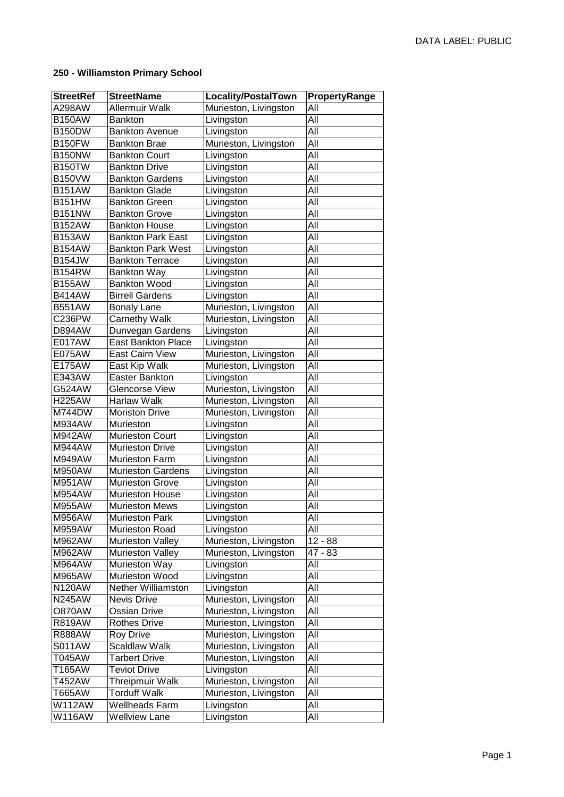## **250 - Williamston Primary School**

| <b>StreetRef</b> | <b>StreetName</b>         | Locality/PostalTown      | PropertyRange |
|------------------|---------------------------|--------------------------|---------------|
| A298AW           | <b>Allermuir Walk</b>     | Murieston, Livingston    | All           |
| <b>B150AW</b>    | <b>Bankton</b>            | Livingston               | All           |
| <b>B150DW</b>    | <b>Bankton Avenue</b>     | Livingston               | All           |
| <b>B150FW</b>    | <b>Bankton Brae</b>       | Murieston, Livingston    | All           |
| <b>B150NW</b>    | <b>Bankton Court</b>      | Livingston               | All           |
| <b>B150TW</b>    | <b>Bankton Drive</b>      | Livingston               | All           |
| <b>B150VW</b>    | <b>Bankton Gardens</b>    | Livingston               | All           |
| <b>B151AW</b>    | <b>Bankton Glade</b>      | Livingston               | All           |
| <b>B151HW</b>    | <b>Bankton Green</b>      | Livingston               | All           |
| <b>B151NW</b>    | <b>Bankton Grove</b>      | Livingston               | All           |
| <b>B152AW</b>    | <b>Bankton House</b>      | Livingston               | All           |
| <b>B153AW</b>    | <b>Bankton Park East</b>  | Livingston               | All           |
| <b>B154AW</b>    | <b>Bankton Park West</b>  | Livingston               | All           |
| <b>B154JW</b>    | <b>Bankton Terrace</b>    | Livingston               | All           |
| <b>B154RW</b>    | <b>Bankton Way</b>        | Livingston               | All           |
| <b>B155AW</b>    | <b>Bankton Wood</b>       | Livingston               | All           |
| <b>B414AW</b>    | <b>Birrell Gardens</b>    | Livingston               | All           |
| <b>B551AW</b>    | <b>Bonaly Lane</b>        | Murieston, Livingston    | All           |
| C236PW           | <b>Carnethy Walk</b>      | Murieston, Livingston    | All           |
| <b>D894AW</b>    | Dunvegan Gardens          | Livingston               | All           |
| E017AW           | <b>East Bankton Place</b> | Livingston               | All           |
| E075AW           | <b>East Cairn View</b>    | Murieston, Livingston    | All           |
| E175AW           | East Kip Walk             | Murieston, Livingston    | All           |
| E343AW           | <b>Easter Bankton</b>     | Livingston               | All           |
| G524AW           | <b>Glencorse View</b>     | Murieston, Livingston    | All           |
| <b>H225AW</b>    | <b>Harlaw Walk</b>        | Murieston, Livingston    | All           |
| M744DW           | <b>Moriston Drive</b>     | Murieston, Livingston    | All           |
| M934AW           | Murieston                 | Livingston               | All           |
| M942AW           | <b>Murieston Court</b>    | Livingston               | All           |
| M944AW           | <b>Murieston Drive</b>    | Livingston               | All           |
| M949AW           | <b>Murieston Farm</b>     | Livingston               | All           |
| M950AW           | <b>Murieston Gardens</b>  | Livingston               | All           |
| M951AW           | <b>Murieston Grove</b>    | Livingston               | All           |
| M954AW           | <b>Murieston House</b>    | Livingston               | All           |
| M955AW           | <b>Murieston Mews</b>     | Livingston               | All           |
| M956AW           | <b>Murieston Park</b>     | Livingston               | All           |
| M959AW           | Murieston Road            | Livingston               | All           |
| M962AW           | <b>Murieston Valley</b>   | Murieston, Livingston    | $12 - 88$     |
| M962AW           | <b>Murieston Valley</b>   | Murieston, Livingston    | 47 - 83       |
| M964AW           | Murieston Way             | Livingston               | All           |
| M965AW           | Murieston Wood            | Livingston               | All           |
| <b>N120AW</b>    | Nether Williamston        | Livingston               | All           |
| <b>N245AW</b>    | Nevis Drive               | Murieston, Livingston    | All           |
| <b>O870AW</b>    | Ossian Drive              | Murieston, Livingston    | All           |
| <b>R819AW</b>    | <b>Rothes Drive</b>       | Murieston, Livingston    | All           |
| <b>R888AW</b>    | <b>Roy Drive</b>          | Murieston, Livingston    | All           |
| S011AW           | <b>Scaldlaw Walk</b>      | Murieston, Livingston    | All           |
| T045AW           | <b>Tarbert Drive</b>      | Murieston, Livingston    | All           |
| T165AW           | <b>Teviot Drive</b>       | Livingston               | All           |
| T452AW           | Threipmuir Walk           | Murieston, Livingston    | All           |
| T665AW           | <b>Torduff Walk</b>       | Murieston, Livingston    | All           |
| W112AW           | Wellheads Farm            |                          | All           |
| W116AW           | <b>Wellview Lane</b>      | Livingston<br>Livingston | All           |
|                  |                           |                          |               |